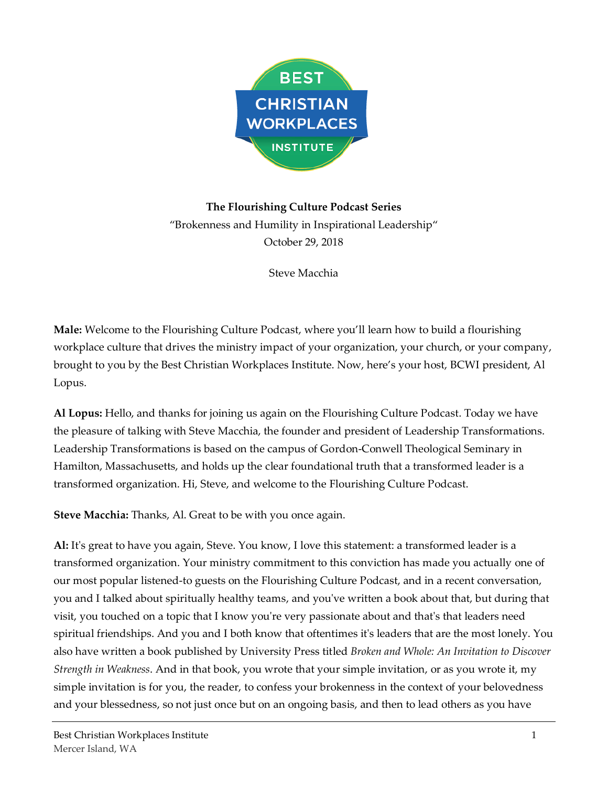

**The Flourishing Culture Podcast Series** "Brokenness and Humility in Inspirational Leadership" October 29, 2018

Steve Macchia

**Male:** Welcome to the Flourishing Culture Podcast, where you'll learn how to build a flourishing workplace culture that drives the ministry impact of your organization, your church, or your company, brought to you by the Best Christian Workplaces Institute. Now, here's your host, BCWI president, Al Lopus.

**Al Lopus:** Hello, and thanks for joining us again on the Flourishing Culture Podcast. Today we have the pleasure of talking with Steve Macchia, the founder and president of Leadership Transformations. Leadership Transformations is based on the campus of Gordon-Conwell Theological Seminary in Hamilton, Massachusetts, and holds up the clear foundational truth that a transformed leader is a transformed organization. Hi, Steve, and welcome to the Flourishing Culture Podcast.

**Steve Macchia:** Thanks, Al. Great to be with you once again.

**Al:** It's great to have you again, Steve. You know, I love this statement: a transformed leader is a transformed organization. Your ministry commitment to this conviction has made you actually one of our most popular listened-to guests on the Flourishing Culture Podcast, and in a recent conversation, you and I talked about spiritually healthy teams, and you've written a book about that, but during that visit, you touched on a topic that I know you're very passionate about and that's that leaders need spiritual friendships. And you and I both know that oftentimes it's leaders that are the most lonely. You also have written a book published by University Press titled *Broken and Whole: An Invitation to Discover Strength in Weakness*. And in that book, you wrote that your simple invitation, or as you wrote it, my simple invitation is for you, the reader, to confess your brokenness in the context of your belovedness and your blessedness, so not just once but on an ongoing basis, and then to lead others as you have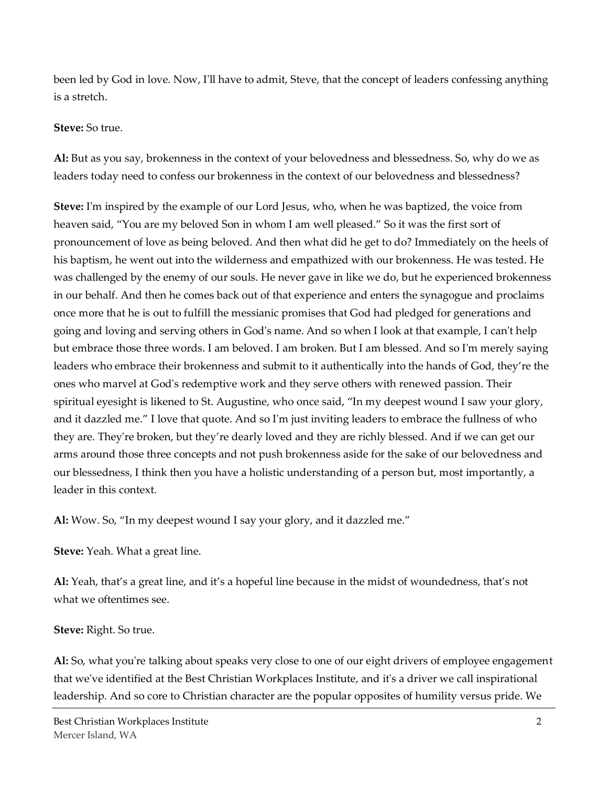been led by God in love. Now, I'll have to admit, Steve, that the concept of leaders confessing anything is a stretch.

#### **Steve:** So true.

**Al:** But as you say, brokenness in the context of your belovedness and blessedness. So, why do we as leaders today need to confess our brokenness in the context of our belovedness and blessedness?

**Steve:** I'm inspired by the example of our Lord Jesus, who, when he was baptized, the voice from heaven said, "You are my beloved Son in whom I am well pleased." So it was the first sort of pronouncement of love as being beloved. And then what did he get to do? Immediately on the heels of his baptism, he went out into the wilderness and empathized with our brokenness. He was tested. He was challenged by the enemy of our souls. He never gave in like we do, but he experienced brokenness in our behalf. And then he comes back out of that experience and enters the synagogue and proclaims once more that he is out to fulfill the messianic promises that God had pledged for generations and going and loving and serving others in God's name. And so when I look at that example, I can't help but embrace those three words. I am beloved. I am broken. But I am blessed. And so I'm merely saying leaders who embrace their brokenness and submit to it authentically into the hands of God, they're the ones who marvel at God's redemptive work and they serve others with renewed passion. Their spiritual eyesight is likened to St. Augustine, who once said, "In my deepest wound I saw your glory, and it dazzled me." I love that quote. And so I'm just inviting leaders to embrace the fullness of who they are. They're broken, but they're dearly loved and they are richly blessed. And if we can get our arms around those three concepts and not push brokenness aside for the sake of our belovedness and our blessedness, I think then you have a holistic understanding of a person but, most importantly, a leader in this context.

**Al:** Wow. So, "In my deepest wound I say your glory, and it dazzled me."

**Steve:** Yeah. What a great line.

**Al:** Yeah, that's a great line, and it's a hopeful line because in the midst of woundedness, that's not what we oftentimes see.

#### **Steve:** Right. So true.

**Al:** So, what you're talking about speaks very close to one of our eight drivers of employee engagement that we've identified at the Best Christian Workplaces Institute, and it's a driver we call inspirational leadership. And so core to Christian character are the popular opposites of humility versus pride. We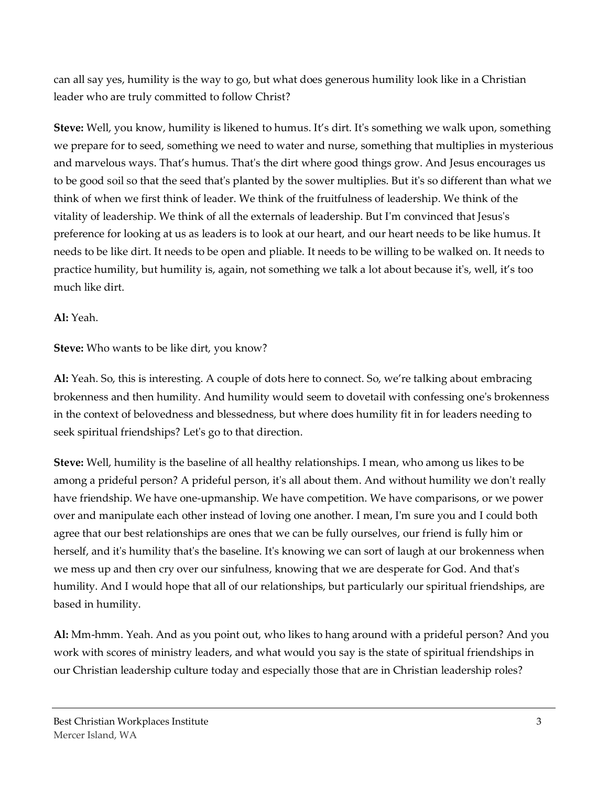can all say yes, humility is the way to go, but what does generous humility look like in a Christian leader who are truly committed to follow Christ?

**Steve:** Well, you know, humility is likened to humus. It's dirt. It's something we walk upon, something we prepare for to seed, something we need to water and nurse, something that multiplies in mysterious and marvelous ways. That's humus. That's the dirt where good things grow. And Jesus encourages us to be good soil so that the seed that's planted by the sower multiplies. But it's so different than what we think of when we first think of leader. We think of the fruitfulness of leadership. We think of the vitality of leadership. We think of all the externals of leadership. But I'm convinced that Jesus's preference for looking at us as leaders is to look at our heart, and our heart needs to be like humus. It needs to be like dirt. It needs to be open and pliable. It needs to be willing to be walked on. It needs to practice humility, but humility is, again, not something we talk a lot about because it's, well, it's too much like dirt.

### **Al:** Yeah.

**Steve:** Who wants to be like dirt, you know?

**Al:** Yeah. So, this is interesting. A couple of dots here to connect. So, we're talking about embracing brokenness and then humility. And humility would seem to dovetail with confessing one's brokenness in the context of belovedness and blessedness, but where does humility fit in for leaders needing to seek spiritual friendships? Let's go to that direction.

**Steve:** Well, humility is the baseline of all healthy relationships. I mean, who among us likes to be among a prideful person? A prideful person, it's all about them. And without humility we don't really have friendship. We have one-upmanship. We have competition. We have comparisons, or we power over and manipulate each other instead of loving one another. I mean, I'm sure you and I could both agree that our best relationships are ones that we can be fully ourselves, our friend is fully him or herself, and it's humility that's the baseline. It's knowing we can sort of laugh at our brokenness when we mess up and then cry over our sinfulness, knowing that we are desperate for God. And that's humility. And I would hope that all of our relationships, but particularly our spiritual friendships, are based in humility.

**Al:** Mm-hmm. Yeah. And as you point out, who likes to hang around with a prideful person? And you work with scores of ministry leaders, and what would you say is the state of spiritual friendships in our Christian leadership culture today and especially those that are in Christian leadership roles?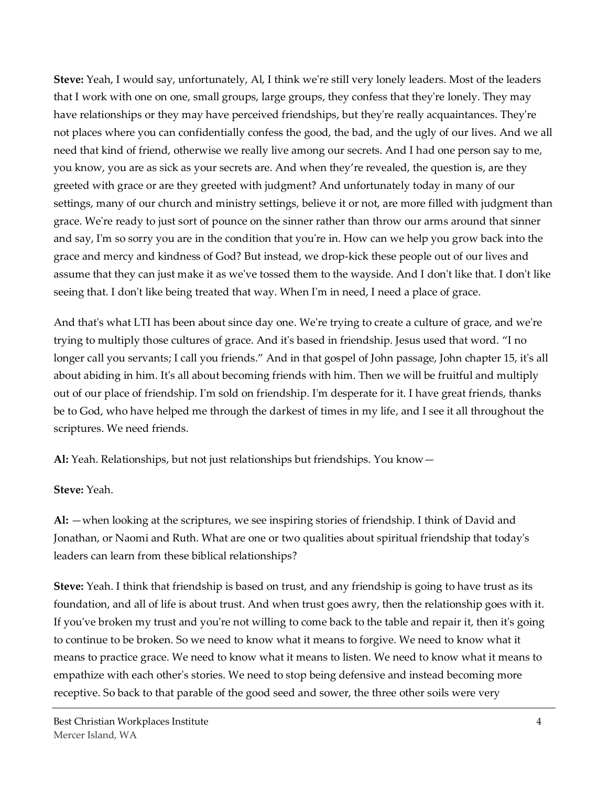**Steve:** Yeah, I would say, unfortunately, Al, I think we're still very lonely leaders. Most of the leaders that I work with one on one, small groups, large groups, they confess that they're lonely. They may have relationships or they may have perceived friendships, but they're really acquaintances. They're not places where you can confidentially confess the good, the bad, and the ugly of our lives. And we all need that kind of friend, otherwise we really live among our secrets. And I had one person say to me, you know, you are as sick as your secrets are. And when they're revealed, the question is, are they greeted with grace or are they greeted with judgment? And unfortunately today in many of our settings, many of our church and ministry settings, believe it or not, are more filled with judgment than grace. We're ready to just sort of pounce on the sinner rather than throw our arms around that sinner and say, I'm so sorry you are in the condition that you're in. How can we help you grow back into the grace and mercy and kindness of God? But instead, we drop-kick these people out of our lives and assume that they can just make it as we've tossed them to the wayside. And I don't like that. I don't like seeing that. I don't like being treated that way. When I'm in need, I need a place of grace.

And that's what LTI has been about since day one. We're trying to create a culture of grace, and we're trying to multiply those cultures of grace. And it's based in friendship. Jesus used that word. "I no longer call you servants; I call you friends." And in that gospel of John passage, John chapter 15, it's all about abiding in him. It's all about becoming friends with him. Then we will be fruitful and multiply out of our place of friendship. I'm sold on friendship. I'm desperate for it. I have great friends, thanks be to God, who have helped me through the darkest of times in my life, and I see it all throughout the scriptures. We need friends.

**Al:** Yeah. Relationships, but not just relationships but friendships. You know—

#### **Steve:** Yeah.

**Al:** —when looking at the scriptures, we see inspiring stories of friendship. I think of David and Jonathan, or Naomi and Ruth. What are one or two qualities about spiritual friendship that today's leaders can learn from these biblical relationships?

**Steve:** Yeah. I think that friendship is based on trust, and any friendship is going to have trust as its foundation, and all of life is about trust. And when trust goes awry, then the relationship goes with it. If you've broken my trust and you're not willing to come back to the table and repair it, then it's going to continue to be broken. So we need to know what it means to forgive. We need to know what it means to practice grace. We need to know what it means to listen. We need to know what it means to empathize with each other's stories. We need to stop being defensive and instead becoming more receptive. So back to that parable of the good seed and sower, the three other soils were very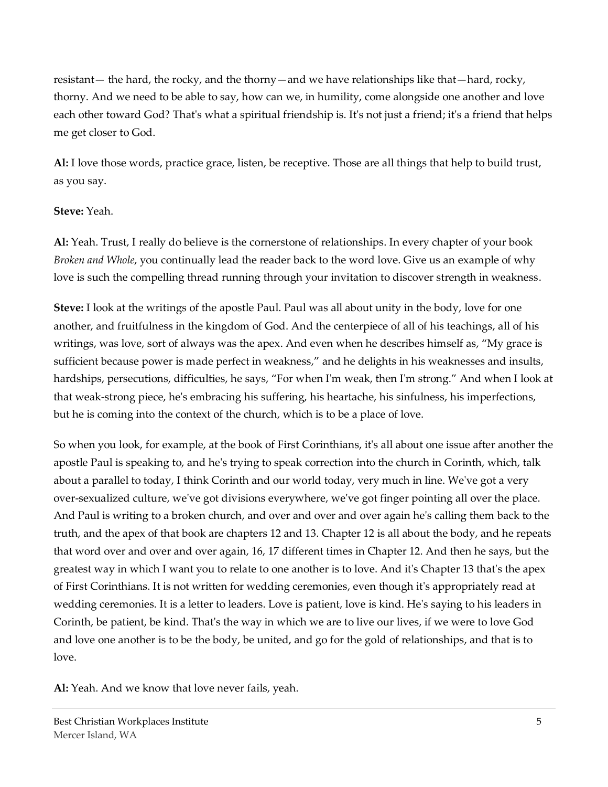resistant— the hard, the rocky, and the thorny—and we have relationships like that—hard, rocky, thorny. And we need to be able to say, how can we, in humility, come alongside one another and love each other toward God? That's what a spiritual friendship is. It's not just a friend; it's a friend that helps me get closer to God.

**Al:** I love those words, practice grace, listen, be receptive. Those are all things that help to build trust, as you say.

#### **Steve:** Yeah.

**Al:** Yeah. Trust, I really do believe is the cornerstone of relationships. In every chapter of your book *Broken and Whole*, you continually lead the reader back to the word love. Give us an example of why love is such the compelling thread running through your invitation to discover strength in weakness.

**Steve:** I look at the writings of the apostle Paul. Paul was all about unity in the body, love for one another, and fruitfulness in the kingdom of God. And the centerpiece of all of his teachings, all of his writings, was love, sort of always was the apex. And even when he describes himself as, "My grace is sufficient because power is made perfect in weakness," and he delights in his weaknesses and insults, hardships, persecutions, difficulties, he says, "For when I'm weak, then I'm strong." And when I look at that weak-strong piece, he's embracing his suffering, his heartache, his sinfulness, his imperfections, but he is coming into the context of the church, which is to be a place of love.

So when you look, for example, at the book of First Corinthians, it's all about one issue after another the apostle Paul is speaking to, and he's trying to speak correction into the church in Corinth, which, talk about a parallel to today, I think Corinth and our world today, very much in line. We've got a very over-sexualized culture, we've got divisions everywhere, we've got finger pointing all over the place. And Paul is writing to a broken church, and over and over and over again he's calling them back to the truth, and the apex of that book are chapters 12 and 13. Chapter 12 is all about the body, and he repeats that word over and over and over again, 16, 17 different times in Chapter 12. And then he says, but the greatest way in which I want you to relate to one another is to love. And it's Chapter 13 that's the apex of First Corinthians. It is not written for wedding ceremonies, even though it's appropriately read at wedding ceremonies. It is a letter to leaders. Love is patient, love is kind. He's saying to his leaders in Corinth, be patient, be kind. That's the way in which we are to live our lives, if we were to love God and love one another is to be the body, be united, and go for the gold of relationships, and that is to love.

**Al:** Yeah. And we know that love never fails, yeah.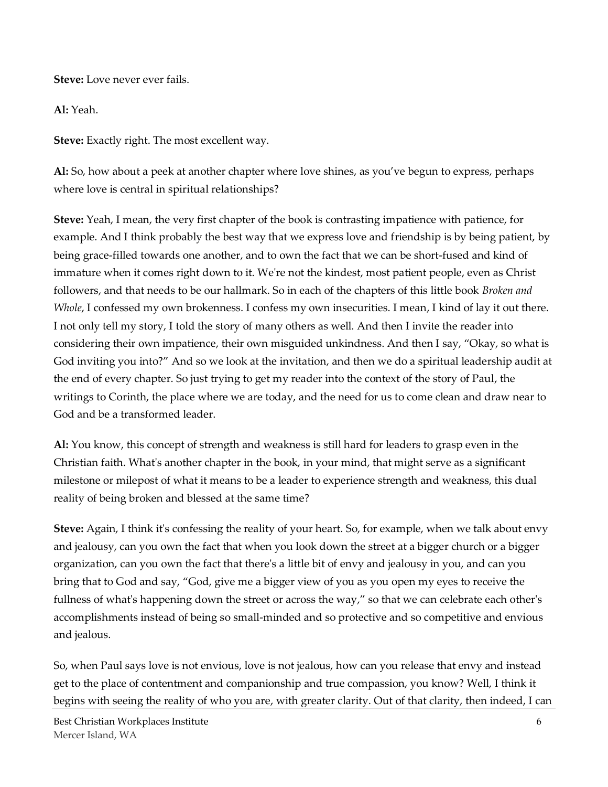**Steve:** Love never ever fails.

**Al:** Yeah.

**Steve:** Exactly right. The most excellent way.

**Al:** So, how about a peek at another chapter where love shines, as you've begun to express, perhaps where love is central in spiritual relationships?

**Steve:** Yeah, I mean, the very first chapter of the book is contrasting impatience with patience, for example. And I think probably the best way that we express love and friendship is by being patient, by being grace-filled towards one another, and to own the fact that we can be short-fused and kind of immature when it comes right down to it. We're not the kindest, most patient people, even as Christ followers, and that needs to be our hallmark. So in each of the chapters of this little book *Broken and Whole*, I confessed my own brokenness. I confess my own insecurities. I mean, I kind of lay it out there. I not only tell my story, I told the story of many others as well. And then I invite the reader into considering their own impatience, their own misguided unkindness. And then I say, "Okay, so what is God inviting you into?" And so we look at the invitation, and then we do a spiritual leadership audit at the end of every chapter. So just trying to get my reader into the context of the story of Paul, the writings to Corinth, the place where we are today, and the need for us to come clean and draw near to God and be a transformed leader.

**Al:** You know, this concept of strength and weakness is still hard for leaders to grasp even in the Christian faith. What's another chapter in the book, in your mind, that might serve as a significant milestone or milepost of what it means to be a leader to experience strength and weakness, this dual reality of being broken and blessed at the same time?

**Steve:** Again, I think it's confessing the reality of your heart. So, for example, when we talk about envy and jealousy, can you own the fact that when you look down the street at a bigger church or a bigger organization, can you own the fact that there's a little bit of envy and jealousy in you, and can you bring that to God and say, "God, give me a bigger view of you as you open my eyes to receive the fullness of what's happening down the street or across the way," so that we can celebrate each other's accomplishments instead of being so small-minded and so protective and so competitive and envious and jealous.

So, when Paul says love is not envious, love is not jealous, how can you release that envy and instead get to the place of contentment and companionship and true compassion, you know? Well, I think it begins with seeing the reality of who you are, with greater clarity. Out of that clarity, then indeed, I can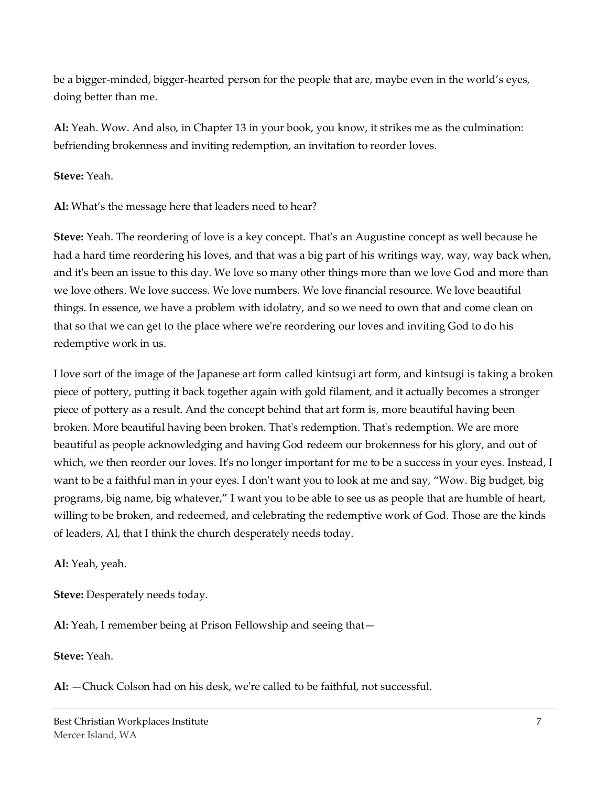be a bigger-minded, bigger-hearted person for the people that are, maybe even in the world's eyes, doing better than me.

**Al:** Yeah. Wow. And also, in Chapter 13 in your book, you know, it strikes me as the culmination: befriending brokenness and inviting redemption, an invitation to reorder loves.

**Steve:** Yeah.

**Al:** What's the message here that leaders need to hear?

**Steve:** Yeah. The reordering of love is a key concept. That's an Augustine concept as well because he had a hard time reordering his loves, and that was a big part of his writings way, way, way back when, and it's been an issue to this day. We love so many other things more than we love God and more than we love others. We love success. We love numbers. We love financial resource. We love beautiful things. In essence, we have a problem with idolatry, and so we need to own that and come clean on that so that we can get to the place where we're reordering our loves and inviting God to do his redemptive work in us.

I love sort of the image of the Japanese art form called kintsugi art form, and kintsugi is taking a broken piece of pottery, putting it back together again with gold filament, and it actually becomes a stronger piece of pottery as a result. And the concept behind that art form is, more beautiful having been broken. More beautiful having been broken. That's redemption. That's redemption. We are more beautiful as people acknowledging and having God redeem our brokenness for his glory, and out of which, we then reorder our loves. It's no longer important for me to be a success in your eyes. Instead, I want to be a faithful man in your eyes. I don't want you to look at me and say, "Wow. Big budget, big programs, big name, big whatever," I want you to be able to see us as people that are humble of heart, willing to be broken, and redeemed, and celebrating the redemptive work of God. Those are the kinds of leaders, Al, that I think the church desperately needs today.

**Al:** Yeah, yeah.

**Steve:** Desperately needs today.

**Al:** Yeah, I remember being at Prison Fellowship and seeing that—

**Steve:** Yeah.

**Al:** —Chuck Colson had on his desk, we're called to be faithful, not successful.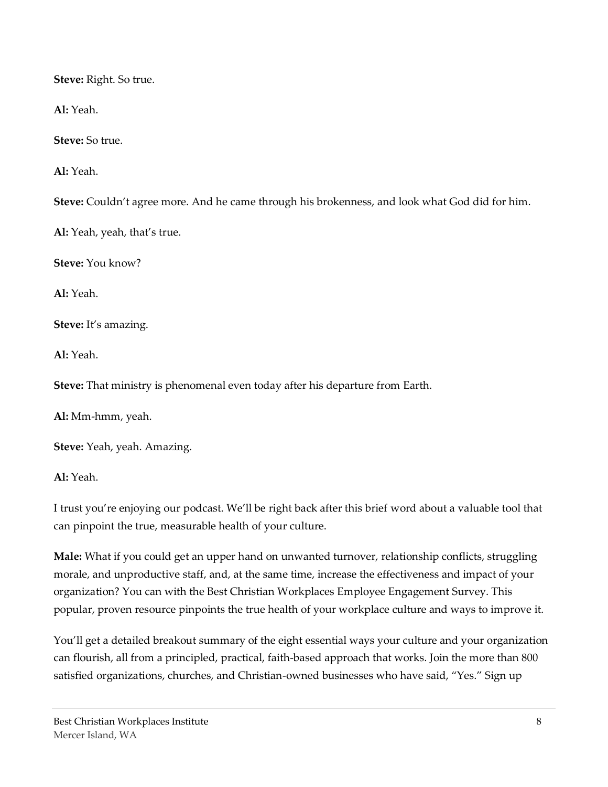**Steve:** Right. So true.

**Al:** Yeah.

**Steve:** So true.

**Al:** Yeah.

**Steve:** Couldn't agree more. And he came through his brokenness, and look what God did for him.

**Al:** Yeah, yeah, that's true.

**Steve:** You know?

**Al:** Yeah.

**Steve:** It's amazing.

**Al:** Yeah.

**Steve:** That ministry is phenomenal even today after his departure from Earth.

**Al:** Mm-hmm, yeah.

**Steve:** Yeah, yeah. Amazing.

**Al:** Yeah.

I trust you're enjoying our podcast. We'll be right back after this brief word about a valuable tool that can pinpoint the true, measurable health of your culture.

**Male:** What if you could get an upper hand on unwanted turnover, relationship conflicts, struggling morale, and unproductive staff, and, at the same time, increase the effectiveness and impact of your organization? You can with the Best Christian Workplaces Employee Engagement Survey. This popular, proven resource pinpoints the true health of your workplace culture and ways to improve it.

You'll get a detailed breakout summary of the eight essential ways your culture and your organization can flourish, all from a principled, practical, faith-based approach that works. Join the more than 800 satisfied organizations, churches, and Christian-owned businesses who have said, "Yes." Sign up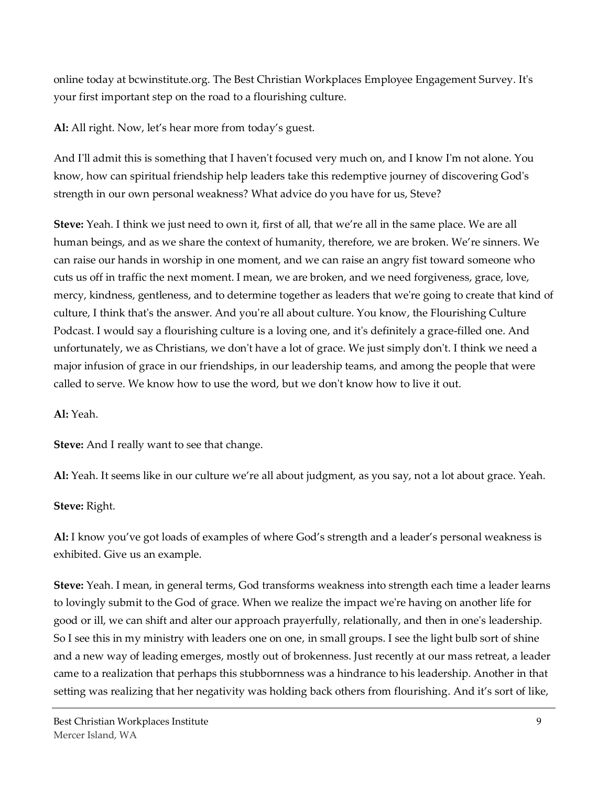online today at bcwinstitute.org. The Best Christian Workplaces Employee Engagement Survey. It's your first important step on the road to a flourishing culture.

**Al:** All right. Now, let's hear more from today's guest.

And I'll admit this is something that I haven't focused very much on, and I know I'm not alone. You know, how can spiritual friendship help leaders take this redemptive journey of discovering God's strength in our own personal weakness? What advice do you have for us, Steve?

**Steve:** Yeah. I think we just need to own it, first of all, that we're all in the same place. We are all human beings, and as we share the context of humanity, therefore, we are broken. We're sinners. We can raise our hands in worship in one moment, and we can raise an angry fist toward someone who cuts us off in traffic the next moment. I mean, we are broken, and we need forgiveness, grace, love, mercy, kindness, gentleness, and to determine together as leaders that we're going to create that kind of culture, I think that's the answer. And you're all about culture. You know, the Flourishing Culture Podcast. I would say a flourishing culture is a loving one, and it's definitely a grace-filled one. And unfortunately, we as Christians, we don't have a lot of grace. We just simply don't. I think we need a major infusion of grace in our friendships, in our leadership teams, and among the people that were called to serve. We know how to use the word, but we don't know how to live it out.

**Al:** Yeah.

**Steve:** And I really want to see that change.

**Al:** Yeah. It seems like in our culture we're all about judgment, as you say, not a lot about grace. Yeah.

**Steve:** Right.

**Al:** I know you've got loads of examples of where God's strength and a leader's personal weakness is exhibited. Give us an example.

**Steve:** Yeah. I mean, in general terms, God transforms weakness into strength each time a leader learns to lovingly submit to the God of grace. When we realize the impact we're having on another life for good or ill, we can shift and alter our approach prayerfully, relationally, and then in one's leadership. So I see this in my ministry with leaders one on one, in small groups. I see the light bulb sort of shine and a new way of leading emerges, mostly out of brokenness. Just recently at our mass retreat, a leader came to a realization that perhaps this stubbornness was a hindrance to his leadership. Another in that setting was realizing that her negativity was holding back others from flourishing. And it's sort of like,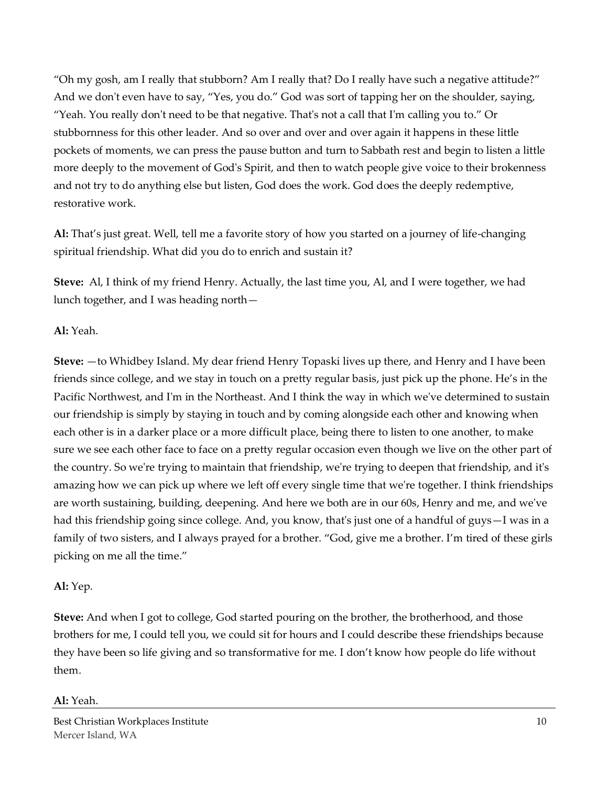"Oh my gosh, am I really that stubborn? Am I really that? Do I really have such a negative attitude?" And we don't even have to say, "Yes, you do." God was sort of tapping her on the shoulder, saying, "Yeah. You really don't need to be that negative. That's not a call that I'm calling you to." Or stubbornness for this other leader. And so over and over and over again it happens in these little pockets of moments, we can press the pause button and turn to Sabbath rest and begin to listen a little more deeply to the movement of God's Spirit, and then to watch people give voice to their brokenness and not try to do anything else but listen, God does the work. God does the deeply redemptive, restorative work.

**Al:** That's just great. Well, tell me a favorite story of how you started on a journey of life-changing spiritual friendship. What did you do to enrich and sustain it?

**Steve:** Al, I think of my friend Henry. Actually, the last time you, Al, and I were together, we had lunch together, and I was heading north—

# **Al:** Yeah.

**Steve:** —to Whidbey Island. My dear friend Henry Topaski lives up there, and Henry and I have been friends since college, and we stay in touch on a pretty regular basis, just pick up the phone. He's in the Pacific Northwest, and I'm in the Northeast. And I think the way in which we've determined to sustain our friendship is simply by staying in touch and by coming alongside each other and knowing when each other is in a darker place or a more difficult place, being there to listen to one another, to make sure we see each other face to face on a pretty regular occasion even though we live on the other part of the country. So we're trying to maintain that friendship, we're trying to deepen that friendship, and it's amazing how we can pick up where we left off every single time that we're together. I think friendships are worth sustaining, building, deepening. And here we both are in our 60s, Henry and me, and we've had this friendship going since college. And, you know, that's just one of a handful of guys—I was in a family of two sisters, and I always prayed for a brother. "God, give me a brother. I'm tired of these girls picking on me all the time."

#### **Al:** Yep.

**Steve:** And when I got to college, God started pouring on the brother, the brotherhood, and those brothers for me, I could tell you, we could sit for hours and I could describe these friendships because they have been so life giving and so transformative for me. I don't know how people do life without them.

#### **Al:** Yeah.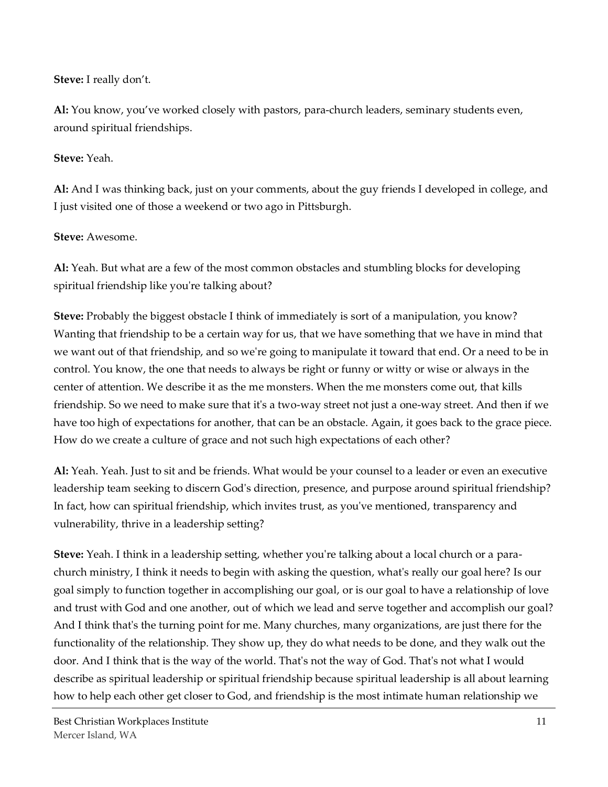### **Steve:** I really don't.

**Al:** You know, you've worked closely with pastors, para-church leaders, seminary students even, around spiritual friendships.

### **Steve:** Yeah.

**Al:** And I was thinking back, just on your comments, about the guy friends I developed in college, and I just visited one of those a weekend or two ago in Pittsburgh.

# **Steve:** Awesome.

**Al:** Yeah. But what are a few of the most common obstacles and stumbling blocks for developing spiritual friendship like you're talking about?

**Steve:** Probably the biggest obstacle I think of immediately is sort of a manipulation, you know? Wanting that friendship to be a certain way for us, that we have something that we have in mind that we want out of that friendship, and so we're going to manipulate it toward that end. Or a need to be in control. You know, the one that needs to always be right or funny or witty or wise or always in the center of attention. We describe it as the me monsters. When the me monsters come out, that kills friendship. So we need to make sure that it's a two-way street not just a one-way street. And then if we have too high of expectations for another, that can be an obstacle. Again, it goes back to the grace piece. How do we create a culture of grace and not such high expectations of each other?

**Al:** Yeah. Yeah. Just to sit and be friends. What would be your counsel to a leader or even an executive leadership team seeking to discern God's direction, presence, and purpose around spiritual friendship? In fact, how can spiritual friendship, which invites trust, as you've mentioned, transparency and vulnerability, thrive in a leadership setting?

**Steve:** Yeah. I think in a leadership setting, whether you're talking about a local church or a parachurch ministry, I think it needs to begin with asking the question, what's really our goal here? Is our goal simply to function together in accomplishing our goal, or is our goal to have a relationship of love and trust with God and one another, out of which we lead and serve together and accomplish our goal? And I think that's the turning point for me. Many churches, many organizations, are just there for the functionality of the relationship. They show up, they do what needs to be done, and they walk out the door. And I think that is the way of the world. That's not the way of God. That's not what I would describe as spiritual leadership or spiritual friendship because spiritual leadership is all about learning how to help each other get closer to God, and friendship is the most intimate human relationship we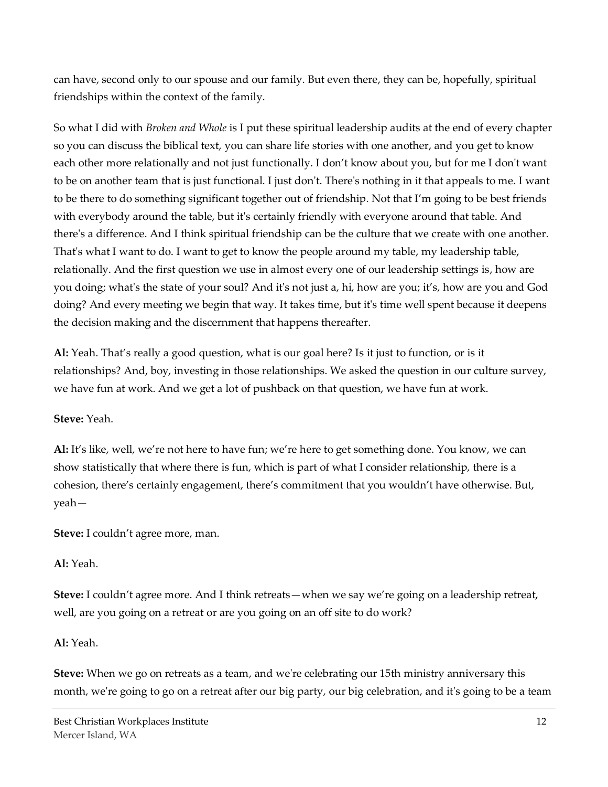can have, second only to our spouse and our family. But even there, they can be, hopefully, spiritual friendships within the context of the family.

So what I did with *Broken and Whole* is I put these spiritual leadership audits at the end of every chapter so you can discuss the biblical text, you can share life stories with one another, and you get to know each other more relationally and not just functionally. I don't know about you, but for me I don't want to be on another team that is just functional. I just don't. There's nothing in it that appeals to me. I want to be there to do something significant together out of friendship. Not that I'm going to be best friends with everybody around the table, but it's certainly friendly with everyone around that table. And there's a difference. And I think spiritual friendship can be the culture that we create with one another. That's what I want to do. I want to get to know the people around my table, my leadership table, relationally. And the first question we use in almost every one of our leadership settings is, how are you doing; what's the state of your soul? And it's not just a, hi, how are you; it's, how are you and God doing? And every meeting we begin that way. It takes time, but it's time well spent because it deepens the decision making and the discernment that happens thereafter.

**Al:** Yeah. That's really a good question, what is our goal here? Is it just to function, or is it relationships? And, boy, investing in those relationships. We asked the question in our culture survey, we have fun at work. And we get a lot of pushback on that question, we have fun at work.

#### **Steve:** Yeah.

**Al:** It's like, well, we're not here to have fun; we're here to get something done. You know, we can show statistically that where there is fun, which is part of what I consider relationship, there is a cohesion, there's certainly engagement, there's commitment that you wouldn't have otherwise. But, yeah—

**Steve:** I couldn't agree more, man.

# **Al:** Yeah.

**Steve:** I couldn't agree more. And I think retreats—when we say we're going on a leadership retreat, well, are you going on a retreat or are you going on an off site to do work?

# **Al:** Yeah.

**Steve:** When we go on retreats as a team, and we're celebrating our 15th ministry anniversary this month, we're going to go on a retreat after our big party, our big celebration, and it's going to be a team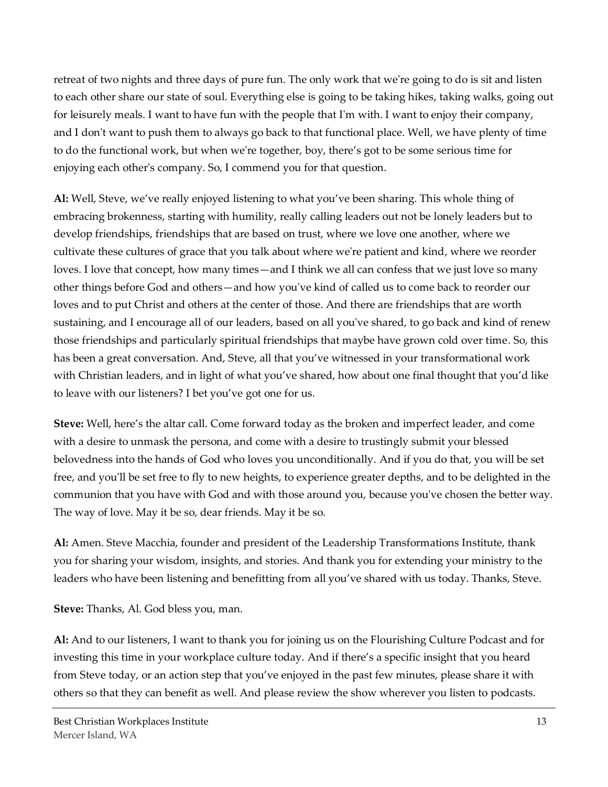retreat of two nights and three days of pure fun. The only work that we're going to do is sit and listen to each other share our state of soul. Everything else is going to be taking hikes, taking walks, going out for leisurely meals. I want to have fun with the people that I'm with. I want to enjoy their company, and I don't want to push them to always go back to that functional place. Well, we have plenty of time to do the functional work, but when we're together, boy, there's got to be some serious time for enjoying each other's company. So, I commend you for that question.

**Al:** Well, Steve, we've really enjoyed listening to what you've been sharing. This whole thing of embracing brokenness, starting with humility, really calling leaders out not be lonely leaders but to develop friendships, friendships that are based on trust, where we love one another, where we cultivate these cultures of grace that you talk about where we're patient and kind, where we reorder loves. I love that concept, how many times—and I think we all can confess that we just love so many other things before God and others—and how you've kind of called us to come back to reorder our loves and to put Christ and others at the center of those. And there are friendships that are worth sustaining, and I encourage all of our leaders, based on all you've shared, to go back and kind of renew those friendships and particularly spiritual friendships that maybe have grown cold over time. So, this has been a great conversation. And, Steve, all that you've witnessed in your transformational work with Christian leaders, and in light of what you've shared, how about one final thought that you'd like to leave with our listeners? I bet you've got one for us.

**Steve:** Well, here's the altar call. Come forward today as the broken and imperfect leader, and come with a desire to unmask the persona, and come with a desire to trustingly submit your blessed belovedness into the hands of God who loves you unconditionally. And if you do that, you will be set free, and you'll be set free to fly to new heights, to experience greater depths, and to be delighted in the communion that you have with God and with those around you, because you've chosen the better way. The way of love. May it be so, dear friends. May it be so.

**Al:** Amen. Steve Macchia, founder and president of the Leadership Transformations Institute, thank you for sharing your wisdom, insights, and stories. And thank you for extending your ministry to the leaders who have been listening and benefitting from all you've shared with us today. Thanks, Steve.

**Steve:** Thanks, Al. God bless you, man.

**Al:** And to our listeners, I want to thank you for joining us on the Flourishing Culture Podcast and for investing this time in your workplace culture today. And if there's a specific insight that you heard from Steve today, or an action step that you've enjoyed in the past few minutes, please share it with others so that they can benefit as well. And please review the show wherever you listen to podcasts.